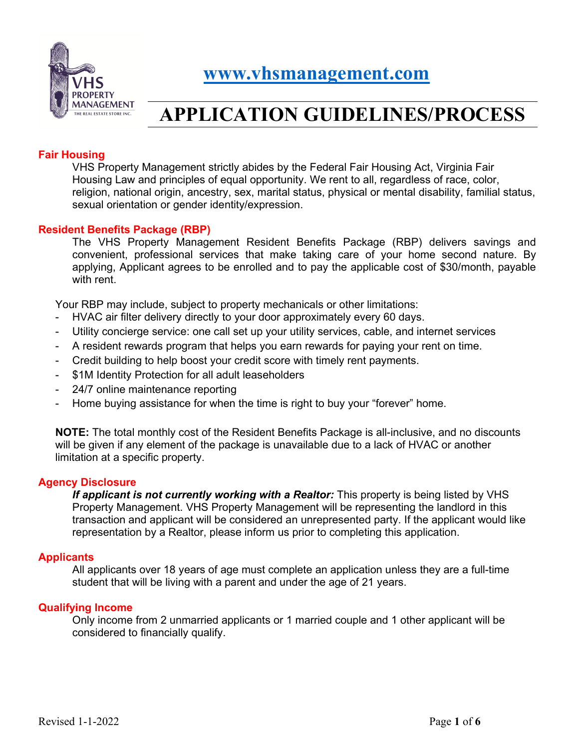

 **[www.vhsmanagement.com](http://www.vhsmanagement.com/)**

# **APPLICATION GUIDELINES/PROCESS**

## **Fair Housing**

VHS Property Management strictly abides by the Federal Fair Housing Act, Virginia Fair Housing Law and principles of equal opportunity. We rent to all, regardless of race, color, religion, national origin, ancestry, sex, marital status, physical or mental disability, familial status, sexual orientation or gender identity/expression.

### **Resident Benefits Package (RBP)**

The VHS Property Management Resident Benefits Package (RBP) delivers savings and convenient, professional services that make taking care of your home second nature. By applying, Applicant agrees to be enrolled and to pay the applicable cost of \$30/month, payable with rent.

Your RBP may include, subject to property mechanicals or other limitations:

- HVAC air filter delivery directly to your door approximately every 60 days.
- Utility concierge service: one call set up your utility services, cable, and internet services
- A resident rewards program that helps you earn rewards for paying your rent on time.
- Credit building to help boost your credit score with timely rent payments.
- \$1M Identity Protection for all adult leaseholders
- 24/7 online maintenance reporting
- Home buying assistance for when the time is right to buy your "forever" home.

**NOTE:** The total monthly cost of the Resident Benefits Package is all-inclusive, and no discounts will be given if any element of the package is unavailable due to a lack of HVAC or another limitation at a specific property.

#### **Agency Disclosure**

*If applicant is not currently working with a Realtor:* This property is being listed by VHS Property Management. VHS Property Management will be representing the landlord in this transaction and applicant will be considered an unrepresented party. If the applicant would like representation by a Realtor, please inform us prior to completing this application.

#### **Applicants**

All applicants over 18 years of age must complete an application unless they are a full-time student that will be living with a parent and under the age of 21 years.

#### **Qualifying Income**

Only income from 2 unmarried applicants or 1 married couple and 1 other applicant will be considered to financially qualify.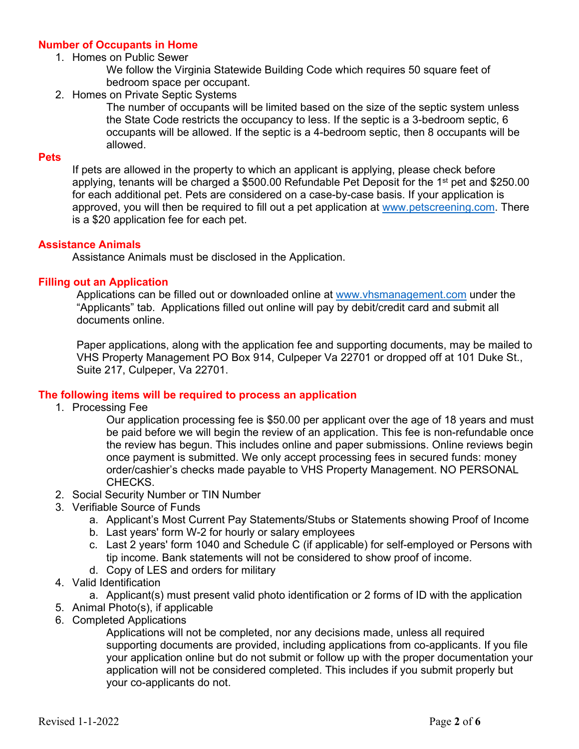## **Number of Occupants in Home**

1. Homes on Public Sewer

We follow the Virginia Statewide Building Code which requires 50 square feet of bedroom space per occupant.

2. Homes on Private Septic Systems

The number of occupants will be limited based on the size of the septic system unless the State Code restricts the occupancy to less. If the septic is a 3-bedroom septic, 6 occupants will be allowed. If the septic is a 4-bedroom septic, then 8 occupants will be allowed.

#### **Pets**

If pets are allowed in the property to which an applicant is applying, please check before applying, tenants will be charged a \$500.00 Refundable Pet Deposit for the 1<sup>st</sup> pet and \$250.00 for each additional pet. Pets are considered on a case-by-case basis. If your application is approved, you will then be required to fill out a pet application at [www.petscreening.com.](http://www.petscreening.com/) There is a \$20 application fee for each pet.

#### **Assistance Animals**

Assistance Animals must be disclosed in the Application.

### **Filling out an Application**

Applications can be filled out or downloaded online at [www.vhsmanagement.com](http://www.vhsmanagement.com/) under the "Applicants" tab. Applications filled out online will pay by debit/credit card and submit all documents online.

Paper applications, along with the application fee and supporting documents, may be mailed to VHS Property Management PO Box 914, Culpeper Va 22701 or dropped off at 101 Duke St., Suite 217, Culpeper, Va 22701.

## **The following items will be required to process an application**

1. Processing Fee

Our application processing fee is \$50.00 per applicant over the age of 18 years and must be paid before we will begin the review of an application. This fee is non-refundable once the review has begun. This includes online and paper submissions. Online reviews begin once payment is submitted. We only accept processing fees in secured funds: money order/cashier's checks made payable to VHS Property Management. NO PERSONAL CHECKS.

- 2. Social Security Number or TIN Number
- 3. Verifiable Source of Funds
	- a. Applicant's Most Current Pay Statements/Stubs or Statements showing Proof of Income
	- b. Last years' form W-2 for hourly or salary employees
	- c. Last 2 years' form 1040 and Schedule C (if applicable) for self-employed or Persons with tip income. Bank statements will not be considered to show proof of income.
	- d. Copy of LES and orders for military
- 4. Valid Identification

a. Applicant(s) must present valid photo identification or 2 forms of ID with the application

- 5. Animal Photo(s), if applicable
- 6. Completed Applications

Applications will not be completed, nor any decisions made, unless all required supporting documents are provided, including applications from co-applicants. If you file your application online but do not submit or follow up with the proper documentation your application will not be considered completed. This includes if you submit properly but your co-applicants do not.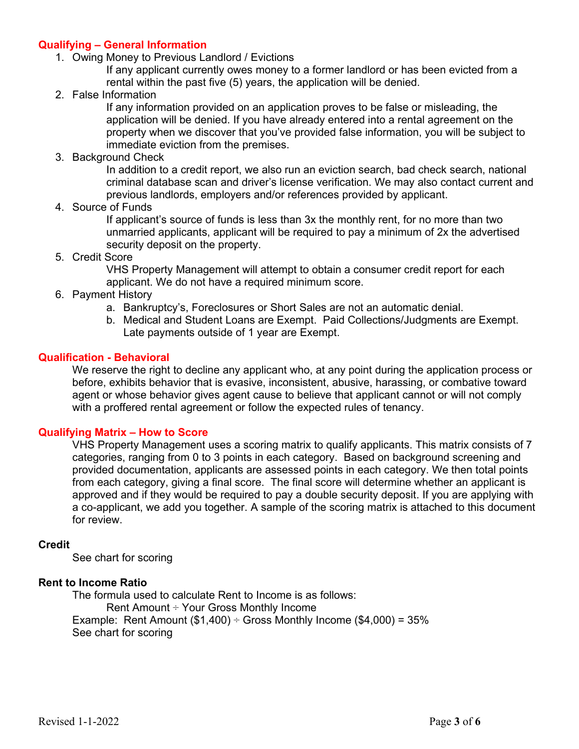## **Qualifying – General Information**

1. Owing Money to Previous Landlord / Evictions

If any applicant currently owes money to a former landlord or has been evicted from a rental within the past five (5) years, the application will be denied.

2. False Information

If any information provided on an application proves to be false or misleading, the application will be denied. If you have already entered into a rental agreement on the property when we discover that you've provided false information, you will be subject to immediate eviction from the premises.

3. Background Check

In addition to a credit report, we also run an eviction search, bad check search, national criminal database scan and driver's license verification. We may also contact current and previous landlords, employers and/or references provided by applicant.

4. Source of Funds

If applicant's source of funds is less than 3x the monthly rent, for no more than two unmarried applicants, applicant will be required to pay a minimum of 2x the advertised security deposit on the property.

5. Credit Score

VHS Property Management will attempt to obtain a consumer credit report for each applicant. We do not have a required minimum score.

- 6. Payment History
	- a. Bankruptcy's, Foreclosures or Short Sales are not an automatic denial.
	- b. Medical and Student Loans are Exempt. Paid Collections/Judgments are Exempt. Late payments outside of 1 year are Exempt.

### **Qualification - Behavioral**

We reserve the right to decline any applicant who, at any point during the application process or before, exhibits behavior that is evasive, inconsistent, abusive, harassing, or combative toward agent or whose behavior gives agent cause to believe that applicant cannot or will not comply with a proffered rental agreement or follow the expected rules of tenancy.

#### **Qualifying Matrix – How to Score**

VHS Property Management uses a scoring matrix to qualify applicants. This matrix consists of 7 categories, ranging from 0 to 3 points in each category. Based on background screening and provided documentation, applicants are assessed points in each category. We then total points from each category, giving a final score. The final score will determine whether an applicant is approved and if they would be required to pay a double security deposit. If you are applying with a co-applicant, we add you together. A sample of the scoring matrix is attached to this document for review.

#### **Credit**

See chart for scoring

### **Rent to Income Ratio**

The formula used to calculate Rent to Income is as follows: Rent Amount ÷ Your Gross Monthly Income Example: Rent Amount  $(\$1,400) \div$  Gross Monthly Income  $(\$4,000) = 35\%$ See chart for scoring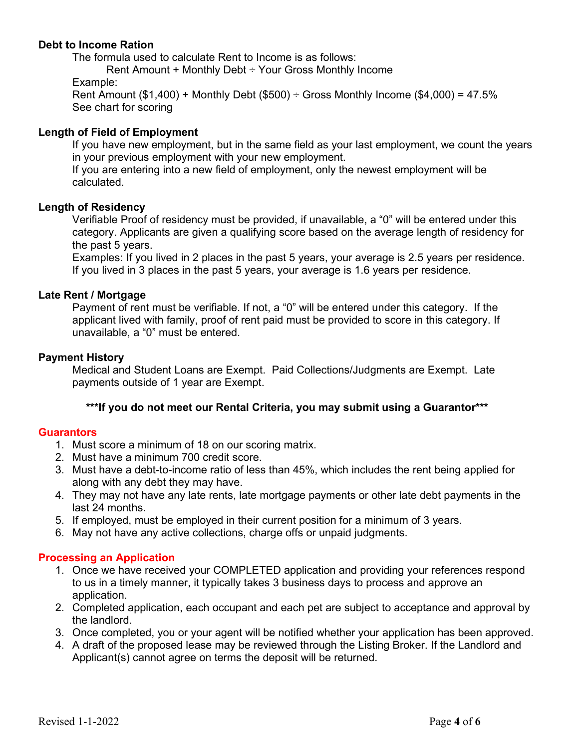## **Debt to Income Ration**

The formula used to calculate Rent to Income is as follows:

Rent Amount + Monthly Debt ÷ Your Gross Monthly Income

Example:

Rent Amount (\$1,400) + Monthly Debt (\$500)  $\div$  Gross Monthly Income (\$4,000) = 47.5% See chart for scoring

## **Length of Field of Employment**

If you have new employment, but in the same field as your last employment, we count the years in your previous employment with your new employment.

If you are entering into a new field of employment, only the newest employment will be calculated.

## **Length of Residency**

Verifiable Proof of residency must be provided, if unavailable, a "0" will be entered under this category. Applicants are given a qualifying score based on the average length of residency for the past 5 years.

Examples: If you lived in 2 places in the past 5 years, your average is 2.5 years per residence. If you lived in 3 places in the past 5 years, your average is 1.6 years per residence.

## **Late Rent / Mortgage**

Payment of rent must be verifiable. If not, a "0" will be entered under this category. If the applicant lived with family, proof of rent paid must be provided to score in this category. If unavailable, a "0" must be entered.

### **Payment History**

Medical and Student Loans are Exempt. Paid Collections/Judgments are Exempt. Late payments outside of 1 year are Exempt.

## **\*\*\*If you do not meet our Rental Criteria, you may submit using a Guarantor\*\*\***

#### **Guarantors**

- 1. Must score a minimum of 18 on our scoring matrix.
- 2. Must have a minimum 700 credit score.
- 3. Must have a debt-to-income ratio of less than 45%, which includes the rent being applied for along with any debt they may have.
- 4. They may not have any late rents, late mortgage payments or other late debt payments in the last 24 months.
- 5. If employed, must be employed in their current position for a minimum of 3 years.
- 6. May not have any active collections, charge offs or unpaid judgments.

## **Processing an Application**

- 1. Once we have received your COMPLETED application and providing your references respond to us in a timely manner, it typically takes 3 business days to process and approve an application.
- 2. Completed application, each occupant and each pet are subject to acceptance and approval by the landlord.
- 3. Once completed, you or your agent will be notified whether your application has been approved.
- 4. A draft of the proposed lease may be reviewed through the Listing Broker. If the Landlord and Applicant(s) cannot agree on terms the deposit will be returned.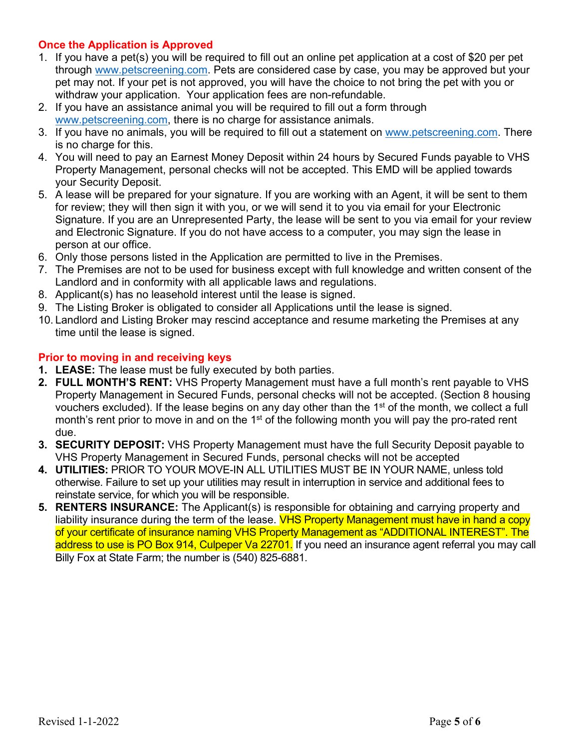## **Once the Application is Approved**

- 1. If you have a pet(s) you will be required to fill out an online pet application at a cost of \$20 per pet through [www.petscreening.com.](http://www.petscreening.com/) Pets are considered case by case, you may be approved but your pet may not. If your pet is not approved, you will have the choice to not bring the pet with you or withdraw your application. Your application fees are non-refundable.
- 2. If you have an assistance animal you will be required to fill out a form through [www.petscreening.com,](http://www.petscreening.com/) there is no charge for assistance animals.
- 3. If you have no animals, you will be required to fill out a statement on [www.petscreening.com.](http://www.petscreening.com/) There is no charge for this.
- 4. You will need to pay an Earnest Money Deposit within 24 hours by Secured Funds payable to VHS Property Management, personal checks will not be accepted. This EMD will be applied towards your Security Deposit.
- 5. A lease will be prepared for your signature. If you are working with an Agent, it will be sent to them for review; they will then sign it with you, or we will send it to you via email for your Electronic Signature. If you are an Unrepresented Party, the lease will be sent to you via email for your review and Electronic Signature. If you do not have access to a computer, you may sign the lease in person at our office.
- 6. Only those persons listed in the Application are permitted to live in the Premises.
- 7. The Premises are not to be used for business except with full knowledge and written consent of the Landlord and in conformity with all applicable laws and regulations.
- 8. Applicant(s) has no leasehold interest until the lease is signed.
- 9. The Listing Broker is obligated to consider all Applications until the lease is signed.
- 10. Landlord and Listing Broker may rescind acceptance and resume marketing the Premises at any time until the lease is signed.

## **Prior to moving in and receiving keys**

- **1. LEASE:** The lease must be fully executed by both parties.
- **2. FULL MONTH'S RENT:** VHS Property Management must have a full month's rent payable to VHS Property Management in Secured Funds, personal checks will not be accepted. (Section 8 housing vouchers excluded). If the lease begins on any day other than the 1st of the month, we collect a full month's rent prior to move in and on the 1<sup>st</sup> of the following month you will pay the pro-rated rent due.
- **3. SECURITY DEPOSIT:** VHS Property Management must have the full Security Deposit payable to VHS Property Management in Secured Funds, personal checks will not be accepted
- **4. UTILITIES:** PRIOR TO YOUR MOVE-IN ALL UTILITIES MUST BE IN YOUR NAME, unless told otherwise. Failure to set up your utilities may result in interruption in service and additional fees to reinstate service, for which you will be responsible.
- **5. RENTERS INSURANCE:** The Applicant(s) is responsible for obtaining and carrying property and liability insurance during the term of the lease. VHS Property Management must have in hand a copy of your certificate of insurance naming VHS Property Management as "ADDITIONAL INTEREST". The address to use is PO Box 914, Culpeper Va 22701. If you need an insurance agent referral you may call Billy Fox at State Farm; the number is (540) 825-6881.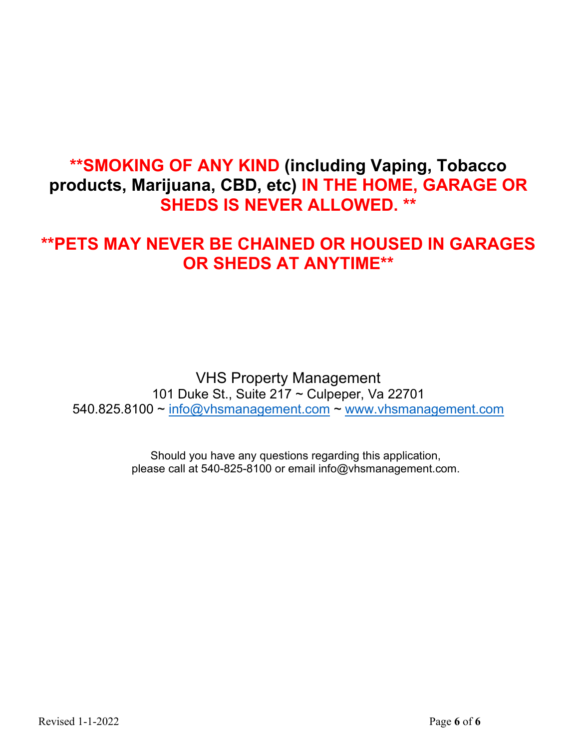## **\*\*SMOKING OF ANY KIND (including Vaping, Tobacco products, Marijuana, CBD, etc) IN THE HOME, GARAGE OR SHEDS IS NEVER ALLOWED. \*\***

## **\*\*PETS MAY NEVER BE CHAINED OR HOUSED IN GARAGES OR SHEDS AT ANYTIME\*\***

VHS Property Management 101 Duke St., Suite 217 ~ Culpeper, Va 22701 540.825.8100 ~ [info@vhsmanagement.com](mailto:info@vhsmanagement.com) ~ [www.vhsmanagement.com](http://www.vhsmanagement.com/)

> Should you have any questions regarding this application, please call at 540-825-8100 or email info@vhsmanagement.com.